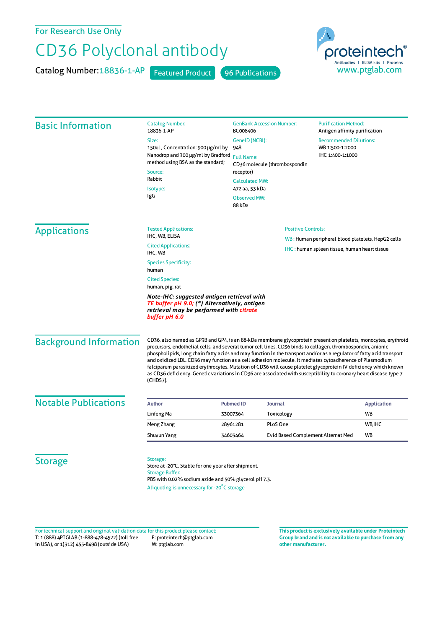For Research Use Only

## CD36 Polyclonal antibody

Catalog Number: 18836-1-AP Featured Product 96 Publications



| <b>Basic Information</b>      | <b>Catalog Number:</b><br>18836-1-AP                                                                                                                                                                                                                                                                                                                                                                                                                                                                                                                                                                                                                                                                                       | <b>GenBank Accession Number:</b><br>BC008406                                                                                                                         |                           | <b>Purification Method:</b><br>Antigen affinity purification                                              |                    |
|-------------------------------|----------------------------------------------------------------------------------------------------------------------------------------------------------------------------------------------------------------------------------------------------------------------------------------------------------------------------------------------------------------------------------------------------------------------------------------------------------------------------------------------------------------------------------------------------------------------------------------------------------------------------------------------------------------------------------------------------------------------------|----------------------------------------------------------------------------------------------------------------------------------------------------------------------|---------------------------|-----------------------------------------------------------------------------------------------------------|--------------------|
|                               | Size:<br>150ul, Concentration: 900 µg/ml by<br>Nanodrop and 300 µg/ml by Bradford<br>method using BSA as the standard;<br>Source:<br>Rabbit<br>Isotype:<br>IgG                                                                                                                                                                                                                                                                                                                                                                                                                                                                                                                                                             | GenelD (NCBI):<br>948<br><b>Full Name:</b><br>CD36 molecule (thrombospondin<br>receptor)<br><b>Calculated MW:</b><br>472 aa, 53 kDa<br><b>Observed MW:</b><br>88 kDa |                           | <b>Recommended Dilutions:</b><br>WB 1:500-1:2000<br>IHC 1:400-1:1000                                      |                    |
| <b>Applications</b>           | <b>Tested Applications:</b><br>IHC, WB, ELISA                                                                                                                                                                                                                                                                                                                                                                                                                                                                                                                                                                                                                                                                              |                                                                                                                                                                      | <b>Positive Controls:</b> |                                                                                                           |                    |
|                               | <b>Cited Applications:</b><br>IHC, WB                                                                                                                                                                                                                                                                                                                                                                                                                                                                                                                                                                                                                                                                                      |                                                                                                                                                                      |                           | WB: Human peripheral blood platelets, HepG2 cells<br><b>IHC</b> : human spleen tissue, human heart tissue |                    |
|                               | <b>Species Specificity:</b><br>human                                                                                                                                                                                                                                                                                                                                                                                                                                                                                                                                                                                                                                                                                       |                                                                                                                                                                      |                           |                                                                                                           |                    |
|                               | <b>Cited Species:</b><br>human, pig, rat                                                                                                                                                                                                                                                                                                                                                                                                                                                                                                                                                                                                                                                                                   |                                                                                                                                                                      |                           |                                                                                                           |                    |
|                               | Note-IHC: suggested antigen retrieval with<br>TE buffer pH 9.0; (*) Alternatively, antigen<br>retrieval may be performed with citrate<br>buffer pH 6.0                                                                                                                                                                                                                                                                                                                                                                                                                                                                                                                                                                     |                                                                                                                                                                      |                           |                                                                                                           |                    |
| <b>Background Information</b> | CD36, also named as GP3B and GP4, is an 88-kDa membrane glycoprotein present on platelets, monocytes, erythroid<br>precursors, endothelial cells, and several tumor cell lines. CD36 binds to collagen, thrombospondin, anionic<br>phospholipids, long chain fatty acids and may function in the transport and/or as a regulator of fatty acid transport<br>and oxidized LDL. CD36 may function as a cell adhesion molecule. It mediates cytoadherence of Plasmodium<br>falciparum parasitized erythrocytes. Mutation of CD36 will cause platelet glycoprotein IV deficiency which known<br>as CD36 deficiency. Genetic variations in CD36 are associated with susceptibility to coronary heart disease type 7<br>(CHDS7). |                                                                                                                                                                      |                           |                                                                                                           |                    |
| <b>Notable Publications</b>   | <b>Author</b>                                                                                                                                                                                                                                                                                                                                                                                                                                                                                                                                                                                                                                                                                                              | <b>Pubmed ID</b><br>Journal                                                                                                                                          |                           |                                                                                                           | <b>Application</b> |
|                               | Linfeng Ma                                                                                                                                                                                                                                                                                                                                                                                                                                                                                                                                                                                                                                                                                                                 | 33007364                                                                                                                                                             | Toxicology                |                                                                                                           | WB                 |
|                               | Meng Zhang                                                                                                                                                                                                                                                                                                                                                                                                                                                                                                                                                                                                                                                                                                                 | PLoS One<br>28961281                                                                                                                                                 |                           |                                                                                                           | WB, IHC            |
|                               | Shuyun Yang                                                                                                                                                                                                                                                                                                                                                                                                                                                                                                                                                                                                                                                                                                                | 34603464                                                                                                                                                             |                           | Evid Based Complement Alternat Med                                                                        | <b>WB</b>          |
| <b>Storage</b>                | Storage:<br>Store at -20°C. Stable for one year after shipment.<br><b>Storage Buffer:</b><br>PBS with 0.02% sodium azide and 50% glycerol pH 7.3.<br>Aliquoting is unnecessary for -20°C storage                                                                                                                                                                                                                                                                                                                                                                                                                                                                                                                           |                                                                                                                                                                      |                           |                                                                                                           |                    |

T: 1 (888) 4PTGLAB (1-888-478-4522) (toll free in USA), or 1(312) 455-8498 (outside USA) E: proteintech@ptglab.com W: ptglab.com Fortechnical support and original validation data forthis product please contact: **This productis exclusively available under Proteintech**

**Group brand and is not available to purchase from any other manufacturer.**